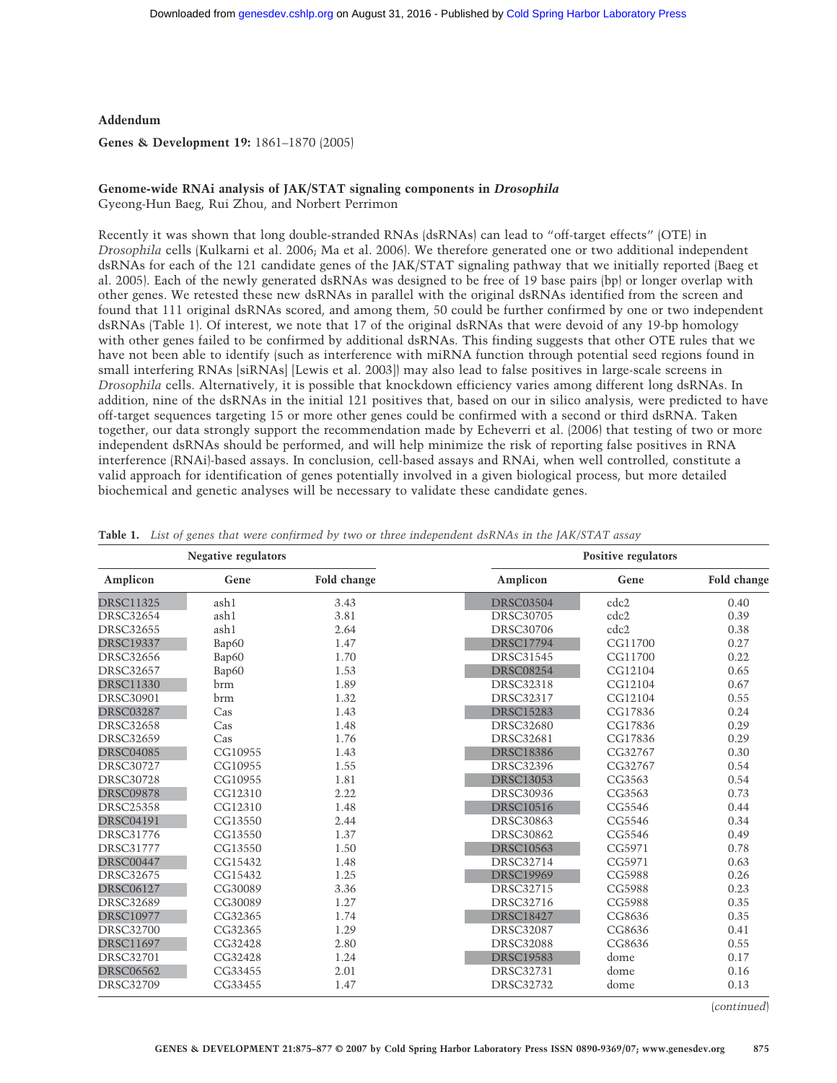**Addendum**

**Genes & Development 19:** 1861–1870 (2005)

## **Genome-wide RNAi analysis of JAK/STAT signaling components in** *Drosophila*

Gyeong-Hun Baeg, Rui Zhou, and Norbert Perrimon

Recently it was shown that long double-stranded RNAs (dsRNAs) can lead to "off-target effects" (OTE) in *Drosophila* cells (Kulkarni et al. 2006; Ma et al. 2006). We therefore generated one or two additional independent dsRNAs for each of the 121 candidate genes of the JAK/STAT signaling pathway that we initially reported (Baeg et al. 2005). Each of the newly generated dsRNAs was designed to be free of 19 base pairs (bp) or longer overlap with other genes. We retested these new dsRNAs in parallel with the original dsRNAs identified from the screen and found that 111 original dsRNAs scored, and among them, 50 could be further confirmed by one or two independent dsRNAs (Table 1). Of interest, we note that 17 of the original dsRNAs that were devoid of any 19-bp homology with other genes failed to be confirmed by additional dsRNAs. This finding suggests that other OTE rules that we have not been able to identify (such as interference with miRNA function through potential seed regions found in small interfering RNAs [siRNAs] [Lewis et al. 2003]] may also lead to false positives in large-scale screens in *Drosophila* cells. Alternatively, it is possible that knockdown efficiency varies among different long dsRNAs. In addition, nine of the dsRNAs in the initial 121 positives that, based on our in silico analysis, were predicted to have off-target sequences targeting 15 or more other genes could be confirmed with a second or third dsRNA. Taken together, our data strongly support the recommendation made by Echeverri et al. (2006) that testing of two or more independent dsRNAs should be performed, and will help minimize the risk of reporting false positives in RNA interference (RNAi)-based assays. In conclusion, cell-based assays and RNAi, when well controlled, constitute a valid approach for identification of genes potentially involved in a given biological process, but more detailed biochemical and genetic analyses will be necessary to validate these candidate genes.

| <b>Negative regulators</b> |            |             | <b>Positive regulators</b> |         |             |
|----------------------------|------------|-------------|----------------------------|---------|-------------|
| Amplicon                   | Gene       | Fold change | Amplicon                   | Gene    | Fold change |
| <b>DRSC11325</b>           | ash1       | 3.43        | <b>DRSC03504</b>           | cdc2    | 0.40        |
| <b>DRSC32654</b>           | ash1       | 3.81        | <b>DRSC30705</b>           | cdc2    | 0.39        |
| <b>DRSC32655</b>           | ash1       | 2.64        | <b>DRSC30706</b>           | cdc2    | 0.38        |
| <b>DRSC19337</b>           | Bap60      | 1.47        | <b>DRSC17794</b>           | CG11700 | 0.27        |
| <b>DRSC32656</b>           | Bap60      | 1.70        | <b>DRSC31545</b>           | CG11700 | 0.22        |
| <b>DRSC32657</b>           | Bap60      | 1.53        | <b>DRSC08254</b>           | CG12104 | 0.65        |
| <b>DRSC11330</b>           | brm        | 1.89        | <b>DRSC32318</b>           | CG12104 | 0.67        |
| <b>DRSC30901</b>           | <b>brm</b> | 1.32        | <b>DRSC32317</b>           | CG12104 | 0.55        |
| <b>DRSC03287</b>           | Cas        | 1.43        | <b>DRSC15283</b>           | CG17836 | 0.24        |
| <b>DRSC32658</b>           | Cas        | 1.48        | <b>DRSC32680</b>           | CG17836 | 0.29        |
| <b>DRSC32659</b>           | Cas        | 1.76        | <b>DRSC32681</b>           | CG17836 | 0.29        |
| <b>DRSC04085</b>           | CG10955    | 1.43        | <b>DRSC18386</b>           | CG32767 | 0.30        |
| <b>DRSC30727</b>           | CG10955    | 1.55        | <b>DRSC32396</b>           | CG32767 | 0.54        |
| <b>DRSC30728</b>           | CG10955    | 1.81        | <b>DRSC13053</b>           | CG3563  | 0.54        |
| <b>DRSC09878</b>           | CG12310    | 2.22        | <b>DRSC30936</b>           | CG3563  | 0.73        |
| <b>DRSC25358</b>           | CG12310    | 1.48        | <b>DRSC10516</b>           | CG5546  | 0.44        |
| <b>DRSC04191</b>           | CG13550    | 2.44        | <b>DRSC30863</b>           | CG5546  | 0.34        |
| <b>DRSC31776</b>           | CG13550    | 1.37        | <b>DRSC30862</b>           | CG5546  | 0.49        |
| <b>DRSC31777</b>           | CG13550    | 1.50        | <b>DRSC10563</b>           | CG5971  | 0.78        |
| <b>DRSC00447</b>           | CG15432    | 1.48        | <b>DRSC32714</b>           | CG5971  | 0.63        |
| <b>DRSC32675</b>           | CG15432    | 1.25        | <b>DRSC19969</b>           | CG5988  | 0.26        |
| <b>DRSC06127</b>           | CG30089    | 3.36        | <b>DRSC32715</b>           | CG5988  | 0.23        |
| <b>DRSC32689</b>           | CG30089    | 1.27        | <b>DRSC32716</b>           | CG5988  | 0.35        |
| <b>DRSC10977</b>           | CG32365    | 1.74        | <b>DRSC18427</b>           | CG8636  | 0.35        |
| <b>DRSC32700</b>           | CG32365    | 1.29        | <b>DRSC32087</b>           | CG8636  | 0.41        |
| <b>DRSC11697</b>           | CG32428    | 2.80        | <b>DRSC32088</b>           | CG8636  | 0.55        |
| <b>DRSC32701</b>           | CG32428    | 1.24        | <b>DRSC19583</b>           | dome    | 0.17        |
| <b>DRSC06562</b>           | CG33455    | 2.01        | <b>DRSC32731</b>           | dome    | 0.16        |
| <b>DRSC32709</b>           | CG33455    | 1.47        | <b>DRSC32732</b>           | dome    | 0.13        |

|  |  |  |  | Table 1. List of genes that were confirmed by two or three independent dsRNAs in the JAK/STAT assay |  |
|--|--|--|--|-----------------------------------------------------------------------------------------------------|--|
|--|--|--|--|-----------------------------------------------------------------------------------------------------|--|

(*continued*)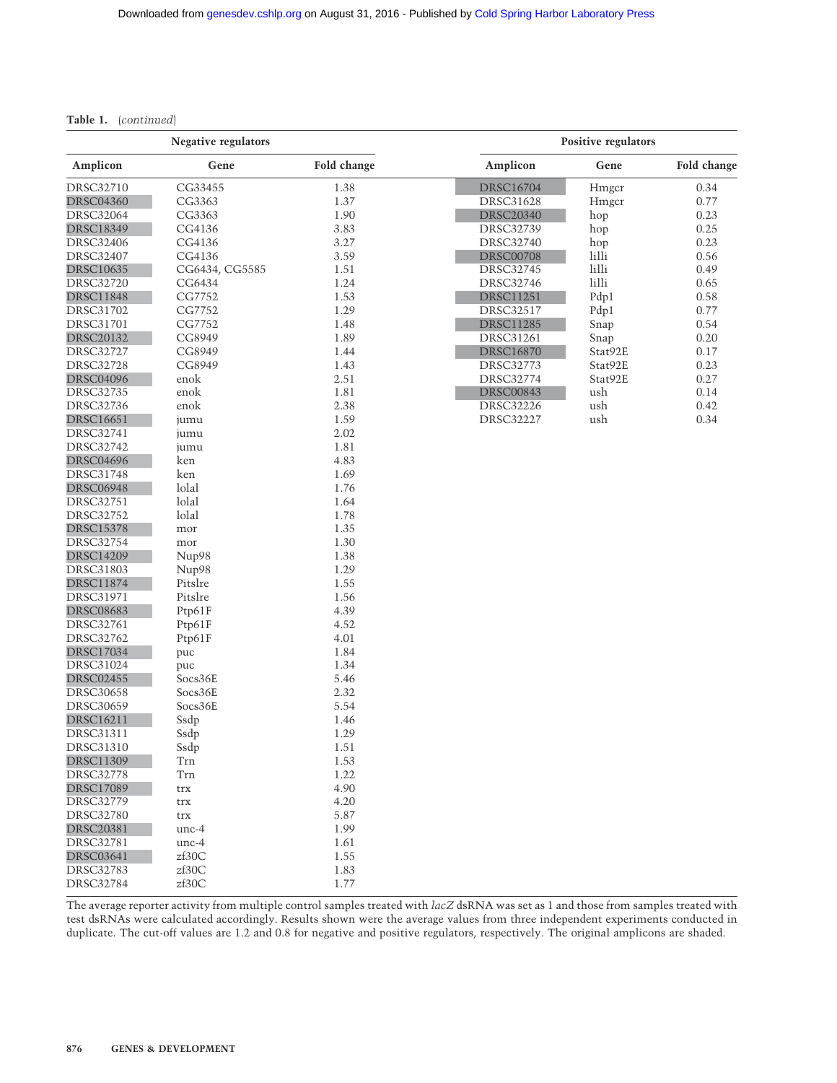## **Table 1.** (*continued*)

| <b>Negative regulators</b> |                |             | Positive regulators |          |             |
|----------------------------|----------------|-------------|---------------------|----------|-------------|
| Amplicon                   | Gene           | Fold change | Amplicon            | Gene     | Fold change |
| DRSC32710                  | CG33455        | 1.38        | <b>DRSC16704</b>    | Hmgcr    | 0.34        |
| <b>DRSC04360</b>           | CG3363         | 1.37        | <b>DRSC31628</b>    | Hmgcr    | 0.77        |
| <b>DRSC32064</b>           | CG3363         | 1.90        | <b>DRSC20340</b>    | hop      | 0.23        |
| <b>DRSC18349</b>           | CG4136         | 3.83        | <b>DRSC32739</b>    | hop      | 0.25        |
| <b>DRSC32406</b>           | CG4136         | 3.27        | <b>DRSC32740</b>    | hop      | 0.23        |
| <b>DRSC32407</b>           | CG4136         | 3.59        | <b>DRSC00708</b>    | lilli    | 0.56        |
| <b>DRSC10635</b>           | CG6434, CG5585 | 1.51        | <b>DRSC32745</b>    | $1$ illi | 0.49        |
| <b>DRSC32720</b>           | CG6434         | 1.24        | <b>DRSC32746</b>    | lilli    | 0.65        |
| <b>DRSC11848</b>           | CG7752         | 1.53        | <b>DRSC11251</b>    | Pdp1     | 0.58        |
| DRSC31702                  | CG7752         | 1.29        | <b>DRSC32517</b>    | Pdp1     | 0.77        |
| DRSC31701                  | CG7752         | 1.48        | <b>DRSC11285</b>    | Snap     | 0.54        |
| <b>DRSC20132</b>           | CG8949         | 1.89        | DRSC31261           | Snap     | 0.20        |
| DRSC32727                  | CG8949         | 1.44        | <b>DRSC16870</b>    | Stat92E  | 0.17        |
| <b>DRSC32728</b>           | CG8949         | 1.43        | <b>DRSC32773</b>    | Stat92E  | 0.23        |
| <b>DRSC04096</b>           | enok           | 2.51        | <b>DRSC32774</b>    | Stat92E  | 0.27        |
| <b>DRSC32735</b>           | enok           | 1.81        | <b>DRSC00843</b>    | ush      | 0.14        |
| <b>DRSC32736</b>           | enok           | 2.38        | <b>DRSC32226</b>    | ush      | 0.42        |
| <b>DRSC16651</b>           | jumu           | 1.59        | <b>DRSC32227</b>    | ush      | 0.34        |
| <b>DRSC32741</b>           | jumu           | 2.02        |                     |          |             |
| DRSC32742                  | jumu           | 1.81        |                     |          |             |
| <b>DRSC04696</b>           | ken            | 4.83        |                     |          |             |
| <b>DRSC31748</b>           | ken            | 1.69        |                     |          |             |
| <b>DRSC06948</b>           | lolal          | 1.76        |                     |          |             |
| <b>DRSC32751</b>           | lolal          | 1.64        |                     |          |             |
| <b>DRSC32752</b>           | lolal          | 1.78        |                     |          |             |
| <b>DRSC15378</b>           | mor            | 1.35        |                     |          |             |
| DRSC32754                  | mor            | 1.30        |                     |          |             |
| <b>DRSC14209</b>           | Nup98          | 1.38        |                     |          |             |
| <b>DRSC31803</b>           | Nup98          | 1.29        |                     |          |             |
| <b>DRSC11874</b>           | Pitslre        | 1.55        |                     |          |             |
| <b>DRSC31971</b>           | Pitslre        | 1.56        |                     |          |             |
| <b>DRSC08683</b>           | Ptp61F         | 4.39        |                     |          |             |
| DRSC32761                  | Ptp61F         | 4.52        |                     |          |             |
| <b>DRSC32762</b>           | Ptp61F         | 4.01        |                     |          |             |
| <b>DRSC17034</b>           | puc            | 1.84        |                     |          |             |
| DRSC31024                  | puc            | 1.34        |                     |          |             |
| <b>DRSC02455</b>           | Socs36E        | 5.46        |                     |          |             |
| <b>DRSC30658</b>           | Socs36E        | 2.32        |                     |          |             |
| <b>DRSC30659</b>           | Socs36E        | 5.54        |                     |          |             |
| <b>DRSC16211</b>           | Ssdp           | 1.46        |                     |          |             |
| <b>DRSC31311</b>           | Ssdp           | 1.29        |                     |          |             |
| <b>DRSC31310</b>           | Ssdp           | 1.51        |                     |          |             |
| <b>DRSC11309</b>           | Trn            | 1.53        |                     |          |             |
| <b>DRSC32778</b>           | Tm             | 1.22        |                     |          |             |
| <b>DRSC17089</b>           | trx            | 4.90        |                     |          |             |
| <b>DRSC32779</b>           | trx            | 4.20        |                     |          |             |
| <b>DRSC32780</b>           | trx            | 5.87        |                     |          |             |
| <b>DRSC20381</b>           | $unc-4$        | 1.99        |                     |          |             |
| <b>DRSC32781</b>           | unc-4          | 1.61        |                     |          |             |
| <b>DRSC03641</b>           | zf30C          | 1.55        |                     |          |             |
| <b>DRSC32783</b>           | zf30C          | 1.83        |                     |          |             |
| <b>DRSC32784</b>           | zf30C          | 1.77        |                     |          |             |

The average reporter activity from multiple control samples treated with *lacZ* dsRNA was set as 1 and those from samples treated with test dsRNAs were calculated accordingly. Results shown were the average values from three independent experiments conducted in duplicate. The cut-off values are 1.2 and 0.8 for negative and positive regulators, respectively. The original amplicons are shaded.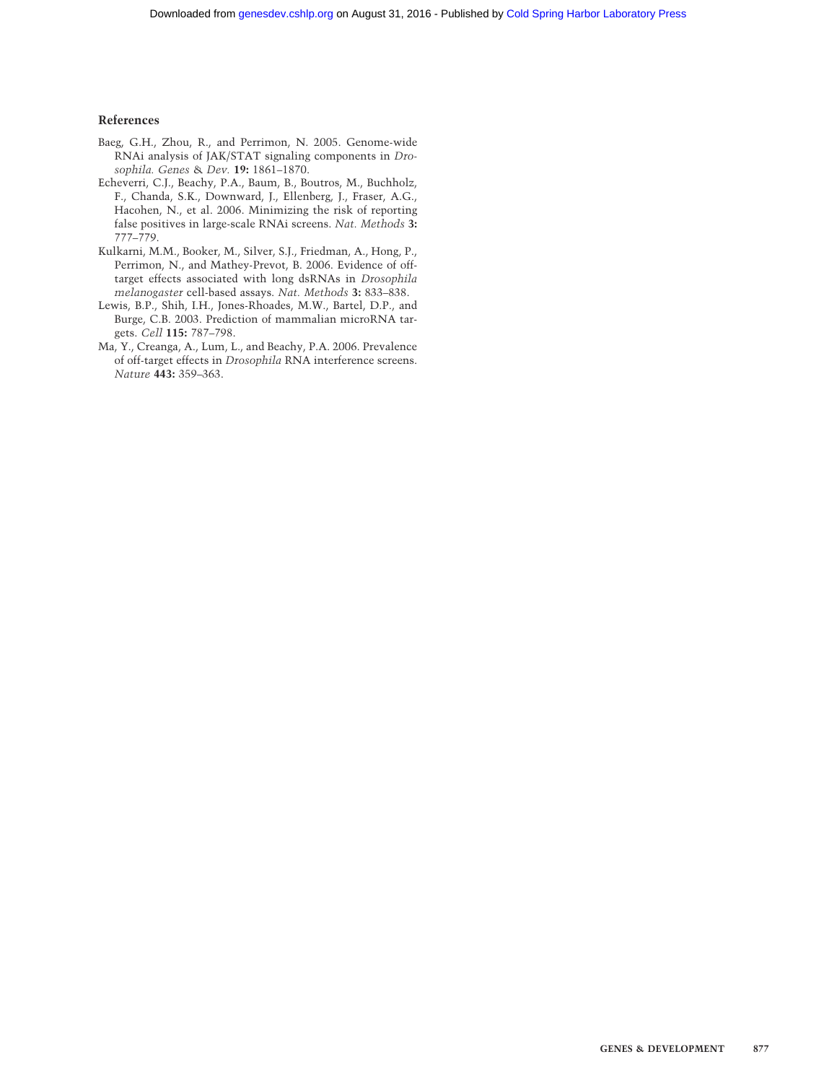## **References**

- Baeg, G.H., Zhou, R., and Perrimon, N. 2005. Genome-wide RNAi analysis of JAK/STAT signaling components in *Drosophila. Genes* & *Dev.* **19:** 1861–1870.
- Echeverri, C.J., Beachy, P.A., Baum, B., Boutros, M., Buchholz, F., Chanda, S.K., Downward, J., Ellenberg, J., Fraser, A.G., Hacohen, N., et al. 2006. Minimizing the risk of reporting false positives in large-scale RNAi screens. *Nat. Methods* **3:** 777–779.
- Kulkarni, M.M., Booker, M., Silver, S.J., Friedman, A., Hong, P., Perrimon, N., and Mathey-Prevot, B. 2006. Evidence of offtarget effects associated with long dsRNAs in *Drosophila melanogaster* cell-based assays. *Nat. Methods* **3:** 833–838.
- Lewis, B.P., Shih, I.H., Jones-Rhoades, M.W., Bartel, D.P., and Burge, C.B. 2003. Prediction of mammalian microRNA targets. *Cell* **115:** 787–798.
- Ma, Y., Creanga, A., Lum, L., and Beachy, P.A. 2006. Prevalence of off-target effects in *Drosophila* RNA interference screens. *Nature* **443:** 359–363.